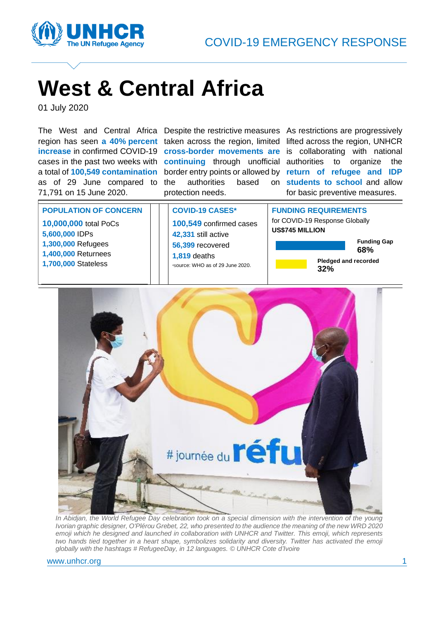

# **West & Central Africa**

01 July 2020

The West and Central Africa Despite the restrictive measures As restrictions are progressively region has seen **a 40% percent**  taken across the region, limited lifted across the region, UNHCR **increase** in confirmed COVID-19 **cross-border movements are** is collaborating with national cases in the past two weeks with continuing through unofficial authorities to organize the a total of **100,549 contamination** border entry points or allowed by **return of refugee and IDP**  as of 29 June compared to 71,791 on 15 June 2020.

authorities based protection needs.

**students to school** and allow for basic preventive measures.

**POPULATION OF CONCERN**

**10,000,000** total PoCs **5,600,000** IDPs **1,300,000** Refugees **1,400,000** Returnees **1,700,000** Stateless

### **COVID-19 CASES\***

**100,549** confirmed cases **42,331** still active **56,399** recovered **1,819** deaths \*Source: WHO as of 29 June 2020.

### **FUNDING REQUIREMENTS** for COVID-19 Response Globally

**US\$745 MILLION**





*In Abidjan, the World Refugee Day celebration took on a special dimension with the intervention of the young Ivorian graphic designer, O'Plérou Grebet, 22, who presented to the audience the meaning of the new WRD 2020 emoji which he designed and launched in collaboration with UNHCR and Twitter. This emoji, which represents two hands tied together in a heart shape, symbolizes solidarity and diversity. Twitter has activated the emoji globally with the hashtags # RefugeeDay, in 12 languages. © UNHCR Cote d'Ivoire*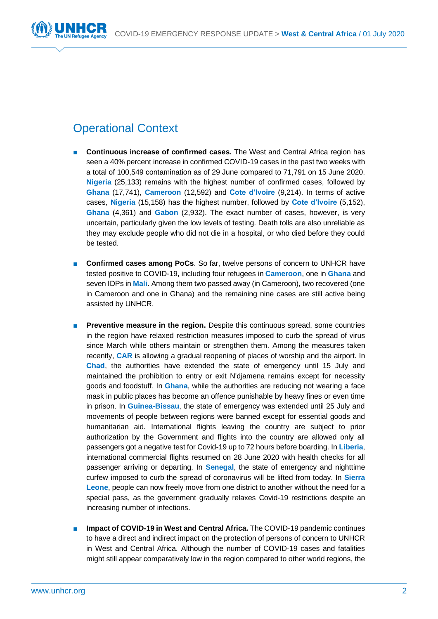

# Operational Context

- **Continuous increase of confirmed cases.** The West and Central Africa region has seen a 40% percent increase in confirmed COVID-19 cases in the past two weeks with a total of 100,549 contamination as of 29 June compared to 71,791 on 15 June 2020. **Nigeria** (25,133) remains with the highest number of confirmed cases, followed by **Ghana** (17,741), **Cameroon** (12,592) and **Cote d'Ivoire** (9,214). In terms of active cases, **Nigeria** (15,158) has the highest number, followed by **Cote d'Ivoire** (5,152), **Ghana** (4,361) and **Gabon** (2,932). The exact number of cases, however, is very uncertain, particularly given the low levels of testing. Death tolls are also unreliable as they may exclude people who did not die in a hospital, or who died before they could be tested.
- **Confirmed cases among PoCs**. So far, twelve persons of concern to UNHCR have tested positive to COVID-19, including four refugees in **Cameroon**, one in **Ghana** and seven IDPs in **Mali**. Among them two passed away (in Cameroon), two recovered (one in Cameroon and one in Ghana) and the remaining nine cases are still active being assisted by UNHCR.
- **Preventive measure in the region.** Despite this continuous spread, some countries in the region have relaxed restriction measures imposed to curb the spread of virus since March while others maintain or strengthen them. Among the measures taken recently, **CAR** is allowing a gradual reopening of places of worship and the airport. In **Chad**, the authorities have extended the state of emergency until 15 July and maintained the prohibition to entry or exit N'djamena remains except for necessity goods and foodstuff. In **Ghana**, while the authorities are reducing not wearing a face mask in public places has become an offence punishable by heavy fines or even time in prison. In **Guinea-Bissau**, the state of emergency was extended until 25 July and movements of people between regions were banned except for essential goods and humanitarian aid. International flights leaving the country are subject to prior authorization by the Government and flights into the country are allowed only all passengers got a negative test for Covid-19 up to 72 hours before boarding. In **Liberia**, international commercial flights resumed on 28 June 2020 with health checks for all passenger arriving or departing. In **Senegal**, the state of emergency and nighttime curfew imposed to curb the spread of coronavirus will be lifted from today. In **Sierra Leone**, people can now freely move from one district to another without the need for a special pass, as the government gradually relaxes Covid-19 restrictions despite an increasing number of infections.
- **Impact of COVID-19 in West and Central Africa.** The COVID-19 pandemic continues to have a direct and indirect impact on the protection of persons of concern to UNHCR in West and Central Africa. Although the number of COVID-19 cases and fatalities might still appear comparatively low in the region compared to other world regions, the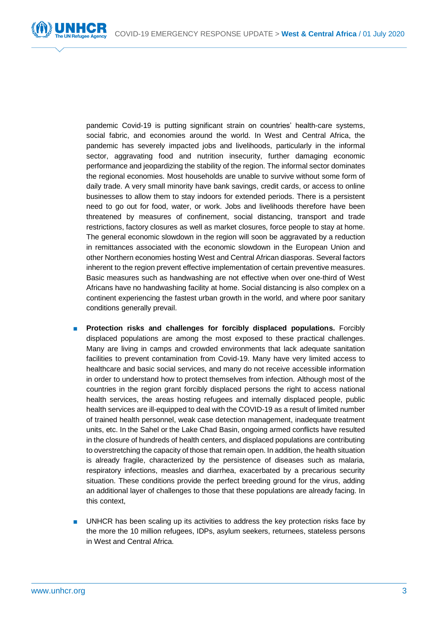pandemic Covid-19 is putting significant strain on countries' health-care systems, social fabric, and economies around the world. In West and Central Africa, the pandemic has severely impacted jobs and livelihoods, particularly in the informal sector, aggravating food and nutrition insecurity, further damaging economic performance and jeopardizing the stability of the region. The informal sector dominates the regional economies. Most households are unable to survive without some form of daily trade. A very small minority have bank savings, credit cards, or access to online businesses to allow them to stay indoors for extended periods. There is a persistent need to go out for food, water, or work. Jobs and livelihoods therefore have been threatened by measures of confinement, social distancing, transport and trade restrictions, factory closures as well as market closures, force people to stay at home. The general economic slowdown in the region will soon be aggravated by a reduction in remittances associated with the economic slowdown in the European Union and other Northern economies hosting West and Central African diasporas. Several factors inherent to the region prevent effective implementation of certain preventive measures. Basic measures such as handwashing are not effective when over one-third of West Africans have no handwashing facility at home. Social distancing is also complex on a continent experiencing the fastest urban growth in the world, and where poor sanitary conditions generally prevail.

- **Protection risks and challenges for forcibly displaced populations.** Forcibly displaced populations are among the most exposed to these practical challenges. Many are living in camps and crowded environments that lack adequate sanitation facilities to prevent contamination from Covid-19. Many have very limited access to healthcare and basic social services, and many do not receive accessible information in order to understand how to protect themselves from infection. Although most of the countries in the region grant forcibly displaced persons the right to access national health services, the areas hosting refugees and internally displaced people, public health services are ill-equipped to deal with the COVID-19 as a result of limited number of trained health personnel, weak case detection management, inadequate treatment units, etc. In the Sahel or the Lake Chad Basin, ongoing armed conflicts have resulted in the closure of hundreds of health centers, and displaced populations are contributing to overstretching the capacity of those that remain open. In addition, the health situation is already fragile, characterized by the persistence of diseases such as malaria, respiratory infections, measles and diarrhea, exacerbated by a precarious security situation. These conditions provide the perfect breeding ground for the virus, adding an additional layer of challenges to those that these populations are already facing. In this context,
- UNHCR has been scaling up its activities to address the key protection risks face by the more the 10 million refugees, IDPs, asylum seekers, returnees, stateless persons in West and Central Africa.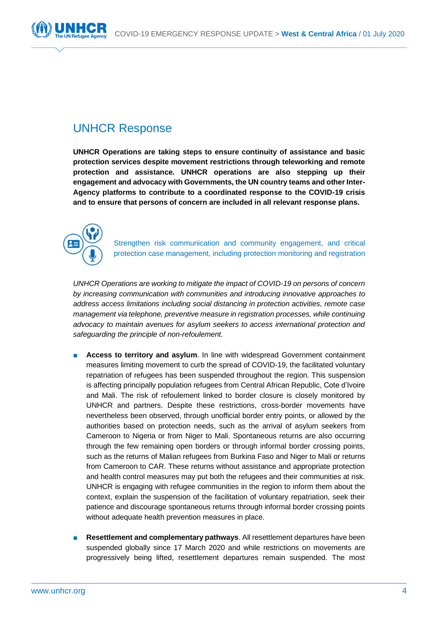

### UNHCR Response

**UNHCR Operations are taking steps to ensure continuity of assistance and basic protection services despite movement restrictions through teleworking and remote protection and assistance. UNHCR operations are also stepping up their engagement and advocacy with Governments, the UN country teams and other Inter-Agency platforms to contribute to a coordinated response to the COVID-19 crisis and to ensure that persons of concern are included in all relevant response plans.**



Strengthen risk communication and community engagement, and critical protection case management, including protection monitoring and registration

*UNHCR Operations are working to mitigate the impact of COVID-19 on persons of concern by increasing communication with communities and introducing innovative approaches to address access limitations including social distancing in protection activities, remote case management via telephone, preventive measure in registration processes, while continuing advocacy to maintain avenues for asylum seekers to access international protection and safeguarding the principle of non-refoulement.* 

- Access to territory and asylum. In line with widespread Government containment measures limiting movement to curb the spread of COVID-19, the facilitated voluntary repatriation of refugees has been suspended throughout the region. This suspension is affecting principally population refugees from Central African Republic, Cote d'Ivoire and Mali. The risk of refoulement linked to border closure is closely monitored by UNHCR and partners. Despite these restrictions, cross-border movements have nevertheless been observed, through unofficial border entry points, or allowed by the authorities based on protection needs, such as the arrival of asylum seekers from Cameroon to Nigeria or from Niger to Mali. Spontaneous returns are also occurring through the few remaining open borders or through informal border crossing points, such as the returns of Malian refugees from Burkina Faso and Niger to Mali or returns from Cameroon to CAR. These returns without assistance and appropriate protection and health control measures may put both the refugees and their communities at risk. UNHCR is engaging with refugee communities in the region to inform them about the context, explain the suspension of the facilitation of voluntary repatriation, seek their patience and discourage spontaneous returns through informal border crossing points without adequate health prevention measures in place.
- **Resettlement and complementary pathways**. All resettlement departures have been suspended globally since 17 March 2020 and while restrictions on movements are progressively being lifted, resettlement departures remain suspended. The most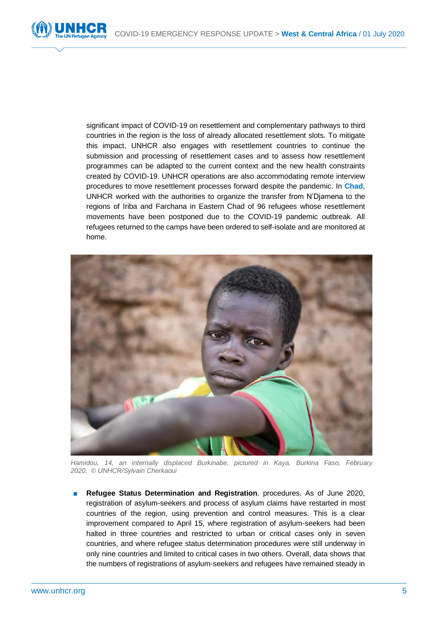

significant impact of COVID-19 on resettlement and complementary pathways to third countries in the region is the loss of already allocated resettlement slots. To mitigate this impact, UNHCR also engages with resettlement countries to continue the submission and processing of resettlement cases and to assess how resettlement programmes can be adapted to the current context and the new health constraints created by COVID-19. UNHCR operations are also accommodating remote interview procedures to move resettlement processes forward despite the pandemic. In **Chad**, UNHCR worked with the authorities to organize the transfer from N'Djamena to the regions of Iriba and Farchana in Eastern Chad of 96 refugees whose resettlement movements have been postponed due to the COVID-19 pandemic outbreak. All refugees returned to the camps have been ordered to self-isolate and are monitored at home.



*Hamidou, 14, an internally displaced Burkinabe, pictured in Kaya, Burkina Faso, February 2020. © UNHCR/Sylvain Cherkaoui*

**Refugee Status Determination and Registration**. procedures. As of June 2020, registration of asylum-seekers and process of asylum claims have restarted in most countries of the region, using prevention and control measures. This is a clear improvement compared to April 15, where registration of asylum-seekers had been halted in three countries and restricted to urban or critical cases only in seven countries, and where refugee status determination procedures were still underway in only nine countries and limited to critical cases in two others. Overall, data shows that the numbers of registrations of asylum-seekers and refugees have remained steady in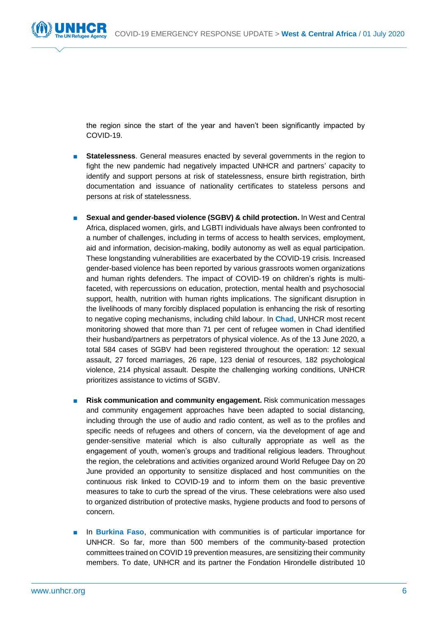the region since the start of the year and haven't been significantly impacted by COVID-19.

- **Statelessness**. General measures enacted by several governments in the region to fight the new pandemic had negatively impacted UNHCR and partners' capacity to identify and support persons at risk of statelessness, ensure birth registration, birth documentation and issuance of nationality certificates to stateless persons and persons at risk of statelessness.
- **Sexual and gender-based violence (SGBV) & child protection.** In West and Central Africa, displaced women, girls, and LGBTI individuals have always been confronted to a number of challenges, including in terms of access to health services, employment, aid and information, decision-making, bodily autonomy as well as equal participation. These longstanding vulnerabilities are exacerbated by the COVID-19 crisis. Increased gender-based violence has been reported by various grassroots women organizations and human rights defenders. The impact of COVID-19 on children's rights is multifaceted, with repercussions on education, protection, mental health and psychosocial support, health, nutrition with human rights implications. The significant disruption in the livelihoods of many forcibly displaced population is enhancing the risk of resorting to negative coping mechanisms, including child labour. In **Chad**, UNHCR most recent monitoring showed that more than 71 per cent of refugee women in Chad identified their husband/partners as perpetrators of physical violence. As of the 13 June 2020, a total 584 cases of SGBV had been registered throughout the operation: 12 sexual assault, 27 forced marriages, 26 rape, 123 denial of resources, 182 psychological violence, 214 physical assault. Despite the challenging working conditions, UNHCR prioritizes assistance to victims of SGBV.
- **Risk communication and community engagement.** Risk communication messages and community engagement approaches have been adapted to social distancing, including through the use of audio and radio content, as well as to the profiles and specific needs of refugees and others of concern, via the development of age and gender-sensitive material which is also culturally appropriate as well as the engagement of youth, women's groups and traditional religious leaders. Throughout the region, the celebrations and activities organized around World Refugee Day on 20 June provided an opportunity to sensitize displaced and host communities on the continuous risk linked to COVID-19 and to inform them on the basic preventive measures to take to curb the spread of the virus. These celebrations were also used to organized distribution of protective masks, hygiene products and food to persons of concern.
- In **Burkina Faso**, communication with communities is of particular importance for UNHCR. So far, more than 500 members of the community-based protection committees trained on COVID 19 prevention measures, are sensitizing their community members. To date, UNHCR and its partner the Fondation Hirondelle distributed 10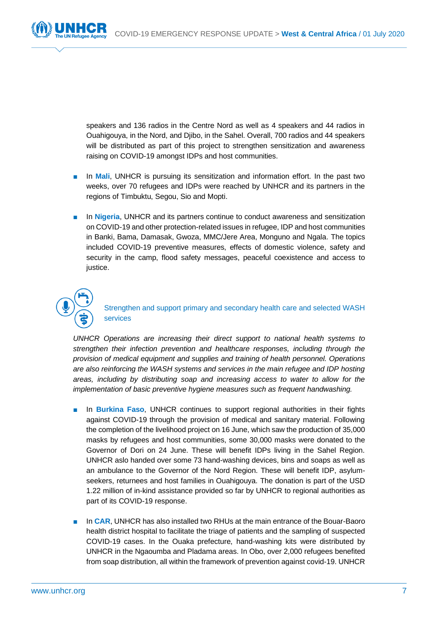

speakers and 136 radios in the Centre Nord as well as 4 speakers and 44 radios in Ouahigouya, in the Nord, and Djibo, in the Sahel. Overall, 700 radios and 44 speakers will be distributed as part of this project to strengthen sensitization and awareness raising on COVID-19 amongst IDPs and host communities.

- In **Mali**, UNHCR is pursuing its sensitization and information effort. In the past two weeks, over 70 refugees and IDPs were reached by UNHCR and its partners in the regions of Timbuktu, Segou, Sio and Mopti.
- In Nigeria, UNHCR and its partners continue to conduct awareness and sensitization on COVID-19 and other protection-related issues in refugee, IDP and host communities in Banki, Bama, Damasak, Gwoza, MMC/Jere Area, Monguno and Ngala. The topics included COVID-19 preventive measures, effects of domestic violence, safety and security in the camp, flood safety messages, peaceful coexistence and access to justice.



Strengthen and support primary and secondary health care and selected WASH services

*UNHCR Operations are increasing their direct support to national health systems to strengthen their infection prevention and healthcare responses, including through the provision of medical equipment and supplies and training of health personnel. Operations are also reinforcing the WASH systems and services in the main refugee and IDP hosting areas, including by distributing soap and increasing access to water to allow for the implementation of basic preventive hygiene measures such as frequent handwashing.*

- In **Burkina Faso**, UNHCR continues to support regional authorities in their fights against COVID-19 through the provision of medical and sanitary material. Following the completion of the livelihood project on 16 June, which saw the production of 35,000 masks by refugees and host communities, some 30,000 masks were donated to the Governor of Dori on 24 June. These will benefit IDPs living in the Sahel Region. UNHCR aslo handed over some 73 hand-washing devices, bins and soaps as well as an ambulance to the Governor of the Nord Region. These will benefit IDP, asylumseekers, returnees and host families in Ouahigouya. The donation is part of the USD 1.22 million of in-kind assistance provided so far by UNHCR to regional authorities as part of its COVID-19 response.
- In **CAR**, UNHCR has also installed two RHUs at the main entrance of the Bouar-Baoro health district hospital to facilitate the triage of patients and the sampling of suspected COVID-19 cases. In the Ouaka prefecture, hand-washing kits were distributed by UNHCR in the Ngaoumba and Pladama areas. In Obo, over 2,000 refugees benefited from soap distribution, all within the framework of prevention against covid-19. UNHCR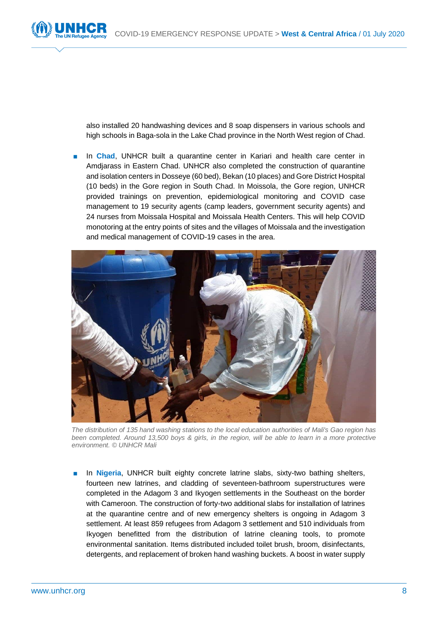also installed 20 handwashing devices and 8 soap dispensers in various schools and high schools in Baga-sola in the Lake Chad province in the North West region of Chad.

In **Chad**, UNHCR built a quarantine center in Kariari and health care center in Amdjarass in Eastern Chad. UNHCR also completed the construction of quarantine and isolation centers in Dosseye (60 bed), Bekan (10 places) and Gore District Hospital (10 beds) in the Gore region in South Chad. In Moissola, the Gore region, UNHCR provided trainings on prevention, epidemiological monitoring and COVID case management to 19 security agents (camp leaders, government security agents) and 24 nurses from Moissala Hospital and Moissala Health Centers. This will help COVID monotoring at the entry points of sites and the villages of Moissala and the investigation and medical management of COVID-19 cases in the area.



*The distribution of 135 hand washing stations to the local education authorities of Mali's Gao region has been completed. Around 13,500 boys & girls, in the region, will be able to learn in a more protective environment. © UNHCR Mali*

■ In **Nigeria**, UNHCR built eighty concrete latrine slabs, sixty-two bathing shelters, fourteen new latrines, and cladding of seventeen-bathroom superstructures were completed in the Adagom 3 and Ikyogen settlements in the Southeast on the border with Cameroon. The construction of forty-two additional slabs for installation of latrines at the quarantine centre and of new emergency shelters is ongoing in Adagom 3 settlement. At least 859 refugees from Adagom 3 settlement and 510 individuals from Ikyogen benefitted from the distribution of latrine cleaning tools, to promote environmental sanitation. Items distributed included toilet brush, broom, disinfectants, detergents, and replacement of broken hand washing buckets. A boost in water supply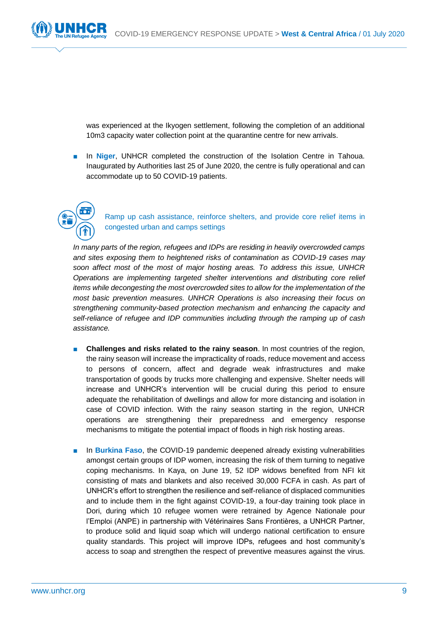was experienced at the Ikyogen settlement, following the completion of an additional 10m3 capacity water collection point at the quarantine centre for new arrivals.

In Niger, UNHCR completed the construction of the Isolation Centre in Tahoua. Inaugurated by Authorities last 25 of June 2020, the centre is fully operational and can accommodate up to 50 COVID-19 patients.



Ramp up cash assistance, reinforce shelters, and provide core relief items in congested urban and camps settings

*In many parts of the region, refugees and IDPs are residing in heavily overcrowded camps and sites exposing them to heightened risks of contamination as COVID-19 cases may soon affect most of the most of major hosting areas. To address this issue, UNHCR Operations are implementing targeted shelter interventions and distributing core relief items while decongesting the most overcrowded sites to allow for the implementation of the most basic prevention measures. UNHCR Operations is also increasing their focus on strengthening community-based protection mechanism and enhancing the capacity and self-reliance of refugee and IDP communities including through the ramping up of cash assistance.* 

- **Challenges and risks related to the rainy season.** In most countries of the region, the rainy season will increase the impracticality of roads, reduce movement and access to persons of concern, affect and degrade weak infrastructures and make transportation of goods by trucks more challenging and expensive. Shelter needs will increase and UNHCR's intervention will be crucial during this period to ensure adequate the rehabilitation of dwellings and allow for more distancing and isolation in case of COVID infection. With the rainy season starting in the region, UNHCR operations are strengthening their preparedness and emergency response mechanisms to mitigate the potential impact of floods in high risk hosting areas.
- In **Burkina Faso**, the COVID-19 pandemic deepened already existing vulnerabilities amongst certain groups of IDP women, increasing the risk of them turning to negative coping mechanisms. In Kaya, on June 19, 52 IDP widows benefited from NFI kit consisting of mats and blankets and also received 30,000 FCFA in cash. As part of UNHCR's effort to strengthen the resilience and self-reliance of displaced communities and to include them in the fight against COVID-19, a four-day training took place in Dori, during which 10 refugee women were retrained by Agence Nationale pour l'Emploi (ANPE) in partnership with Vétérinaires Sans Frontières, a UNHCR Partner, to produce solid and liquid soap which will undergo national certification to ensure quality standards. This project will improve IDPs, refugees and host community's access to soap and strengthen the respect of preventive measures against the virus.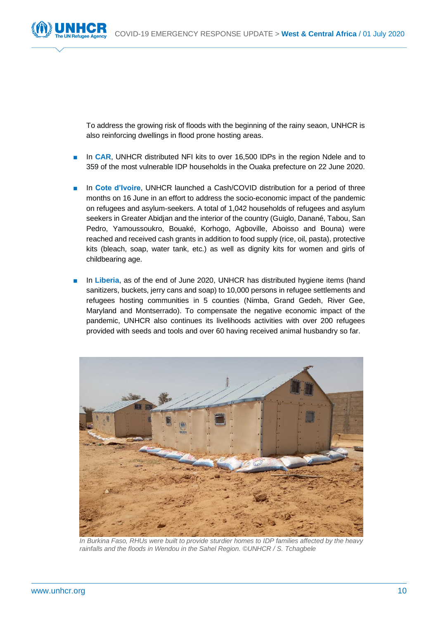To address the growing risk of floods with the beginning of the rainy seaon, UNHCR is also reinforcing dwellings in flood prone hosting areas.

- In **CAR**, UNHCR distributed NFI kits to over 16,500 IDPs in the region Ndele and to 359 of the most vulnerable IDP households in the Ouaka prefecture on 22 June 2020.
- In **Cote d'Ivoire**, UNHCR launched a Cash/COVID distribution for a period of three months on 16 June in an effort to address the socio-economic impact of the pandemic on refugees and asylum-seekers. A total of 1,042 households of refugees and asylum seekers in Greater Abidjan and the interior of the country (Guiglo, Danané, Tabou, San Pedro, Yamoussoukro, Bouaké, Korhogo, Agboville, Aboisso and Bouna) were reached and received cash grants in addition to food supply (rice, oil, pasta), protective kits (bleach, soap, water tank, etc.) as well as dignity kits for women and girls of childbearing age.
- In Liberia, as of the end of June 2020, UNHCR has distributed hygiene items (hand sanitizers, buckets, jerry cans and soap) to 10,000 persons in refugee settlements and refugees hosting communities in 5 counties (Nimba, Grand Gedeh, River Gee, Maryland and Montserrado). To compensate the negative economic impact of the pandemic, UNHCR also continues its livelihoods activities with over 200 refugees provided with seeds and tools and over 60 having received animal husbandry so far.



*In Burkina Faso, RHUs were built to provide sturdier homes to IDP families affected by the heavy rainfalls and the floods in Wendou in the Sahel Region. ©UNHCR / S. Tchagbele*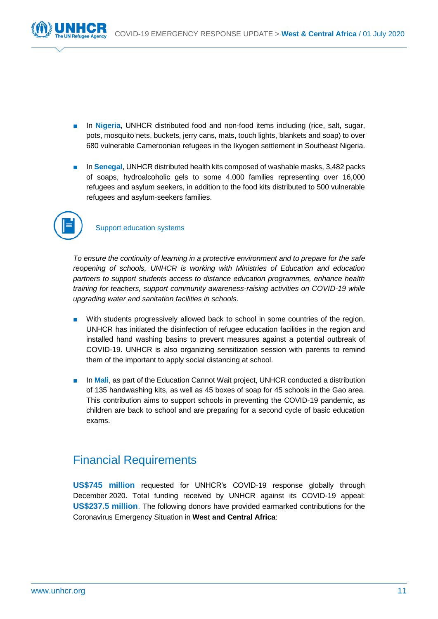

- In **Nigeria**, UNHCR distributed food and non-food items including (rice, salt, sugar, pots, mosquito nets, buckets, jerry cans, mats, touch lights, blankets and soap) to over 680 vulnerable Cameroonian refugees in the Ikyogen settlement in Southeast Nigeria.
- In **Senegal**, UNHCR distributed health kits composed of washable masks, 3,482 packs of soaps, hydroalcoholic gels to some 4,000 families representing over 16,000 refugees and asylum seekers, in addition to the food kits distributed to 500 vulnerable refugees and asylum-seekers families.



### Support education systems

*To ensure the continuity of learning in a protective environment and to prepare for the safe reopening of schools, UNHCR is working with Ministries of Education and education partners to support students access to distance education programmes, enhance health training for teachers, support community awareness-raising activities on COVID-19 while upgrading water and sanitation facilities in schools.*

- With students progressively allowed back to school in some countries of the region, UNHCR has initiated the disinfection of refugee education facilities in the region and installed hand washing basins to prevent measures against a potential outbreak of COVID-19. UNHCR is also organizing sensitization session with parents to remind them of the important to apply social distancing at school.
- In **Mali**, as part of the Education Cannot Wait project, UNHCR conducted a distribution of 135 handwashing kits, as well as 45 boxes of soap for 45 schools in the Gao area. This contribution aims to support schools in preventing the COVID-19 pandemic, as children are back to school and are preparing for a second cycle of basic education exams.

## Financial Requirements

**US\$745 million** requested for UNHCR's COVID-19 response globally through December 2020. Total funding received by UNHCR against its COVID-19 appeal: **US\$237.5 million**. The following donors have provided earmarked contributions for the Coronavirus Emergency Situation in **West and Central Africa**: